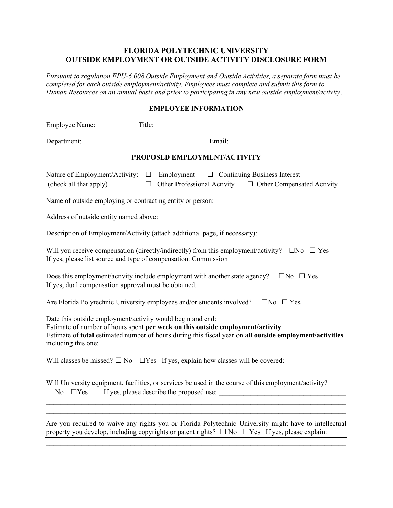## FLORIDA POLYTECHNIC UNIVERSITY OUTSIDE EMPLOYMENT OR OUTSIDE ACTIVITY DISCLOSURE FORM

Pursuant to regulation FPU-6.008 Outside Employment and Outside Activities, a separate form must be completed for each outside employment/activity. Employees must complete and submit this form to Human Resources on an annual basis and prior to participating in any new outside employment/activity.

## EMPLOYEE INFORMATION

Employee Name: Title:

Department: Email:

## PROPOSED EMPLOYMENT/ACTIVITY

| Nature of Employment/Activity: $\Box$ Employment $\Box$ Continuing Business Interest |  |                                    |  |                                   |
|--------------------------------------------------------------------------------------|--|------------------------------------|--|-----------------------------------|
| (check all that apply)                                                               |  | $\Box$ Other Professional Activity |  | $\Box$ Other Compensated Activity |
| Name of outside employing or contracting entity or person:                           |  |                                    |  |                                   |

Address of outside entity named above:

Description of Employment/Activity (attach additional page, if necessary):

Will you receive compensation (directly/indirectly) from this employment/activity?  $\Box$ No  $\Box$  Yes If yes, please list source and type of compensation: Commission

| Does this employment/activity include employment with another state agency? $\square$ No $\square$ Yes |  |
|--------------------------------------------------------------------------------------------------------|--|
| If yes, dual compensation approval must be obtained.                                                   |  |

Are Florida Polytechnic University employees and/or students involved?  $\square$ No  $\square$  Yes

Date this outside employment/activity would begin and end: Estimate of number of hours spent per week on this outside employment/activity Estimate of total estimated number of hours during this fiscal year on all outside employment/activities including this one:

 $\mathcal{L}_\text{max} = \mathcal{L}_\text{max} = \mathcal{L}_\text{max} = \mathcal{L}_\text{max} = \mathcal{L}_\text{max} = \mathcal{L}_\text{max} = \mathcal{L}_\text{max} = \mathcal{L}_\text{max} = \mathcal{L}_\text{max} = \mathcal{L}_\text{max} = \mathcal{L}_\text{max} = \mathcal{L}_\text{max} = \mathcal{L}_\text{max} = \mathcal{L}_\text{max} = \mathcal{L}_\text{max} = \mathcal{L}_\text{max} = \mathcal{L}_\text{max} = \mathcal{L}_\text{max} = \mathcal{$ 

Will classes be missed?  $\square$  No  $\square$  Yes If yes, explain how classes will be covered:

Will University equipment, facilities, or services be used in the course of this employment/activity? ☐No ☐Yes If yes, please describe the proposed use: \_\_\_\_\_\_\_\_\_\_\_\_\_\_\_\_\_\_\_\_\_\_\_\_\_\_\_\_\_\_\_\_\_\_\_\_

Are you required to waive any rights you or Florida Polytechnic University might have to intellectual property you develop, including copyrights or patent rights?  $\Box$  No  $\Box$  Yes If yes, please explain:

 $\mathcal{L}_\text{max} = \mathcal{L}_\text{max} = \mathcal{L}_\text{max} = \mathcal{L}_\text{max} = \mathcal{L}_\text{max} = \mathcal{L}_\text{max} = \mathcal{L}_\text{max} = \mathcal{L}_\text{max} = \mathcal{L}_\text{max} = \mathcal{L}_\text{max} = \mathcal{L}_\text{max} = \mathcal{L}_\text{max} = \mathcal{L}_\text{max} = \mathcal{L}_\text{max} = \mathcal{L}_\text{max} = \mathcal{L}_\text{max} = \mathcal{L}_\text{max} = \mathcal{L}_\text{max} = \mathcal{$ 

 $\mathcal{L}_\text{max} = \mathcal{L}_\text{max} = \mathcal{L}_\text{max} = \mathcal{L}_\text{max} = \mathcal{L}_\text{max} = \mathcal{L}_\text{max} = \mathcal{L}_\text{max} = \mathcal{L}_\text{max} = \mathcal{L}_\text{max} = \mathcal{L}_\text{max} = \mathcal{L}_\text{max} = \mathcal{L}_\text{max} = \mathcal{L}_\text{max} = \mathcal{L}_\text{max} = \mathcal{L}_\text{max} = \mathcal{L}_\text{max} = \mathcal{L}_\text{max} = \mathcal{L}_\text{max} = \mathcal{$  $\mathcal{L}_\text{max} = \mathcal{L}_\text{max} = \mathcal{L}_\text{max} = \mathcal{L}_\text{max} = \mathcal{L}_\text{max} = \mathcal{L}_\text{max} = \mathcal{L}_\text{max} = \mathcal{L}_\text{max} = \mathcal{L}_\text{max} = \mathcal{L}_\text{max} = \mathcal{L}_\text{max} = \mathcal{L}_\text{max} = \mathcal{L}_\text{max} = \mathcal{L}_\text{max} = \mathcal{L}_\text{max} = \mathcal{L}_\text{max} = \mathcal{L}_\text{max} = \mathcal{L}_\text{max} = \mathcal{$